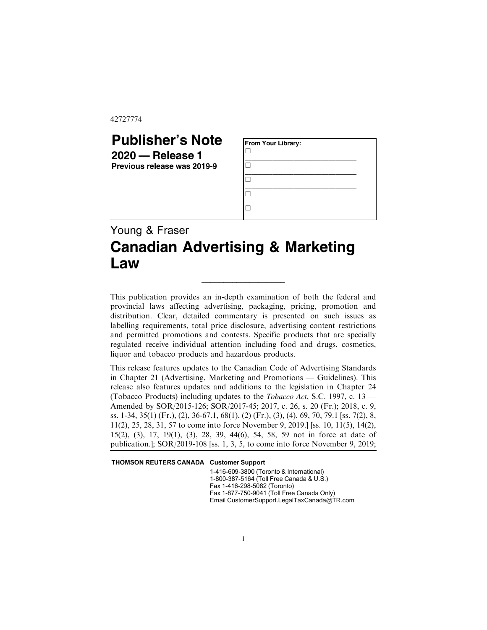42727774

## **Publisher's Note 2020 — Release 1**

**Previous release was 2019-9**

| From Your Library: |  |
|--------------------|--|
|                    |  |
|                    |  |
|                    |  |
|                    |  |

## Young & Fraser **Canadian Advertising & Marketing Law**

This publication provides an in-depth examination of both the federal and provincial laws affecting advertising, packaging, pricing, promotion and distribution. Clear, detailed commentary is presented on such issues as labelling requirements, total price disclosure, advertising content restrictions and permitted promotions and contests. Specific products that are specially regulated receive individual attention including food and drugs, cosmetics, liquor and tobacco products and hazardous products.

\_\_\_\_\_\_\_\_\_\_\_\_\_\_\_\_\_\_\_

This release features updates to the Canadian Code of Advertising Standards in Chapter 21 (Advertising, Marketing and Promotions — Guidelines). This release also features updates and additions to the legislation in Chapter 24 (Tobacco Products) including updates to the *Tobacco Act*, S.C. 1997, c. 13 — Amended by SOR/2015-126; SOR/2017-45; 2017, c. 26, s. 20 (Fr.); 2018, c. 9, ss. 1-34, 35(1) (Fr.), (2), 36-67.1, 68(1), (2) (Fr.), (3), (4), 69, 70, 79.1 [ss. 7(2), 8, 11(2), 25, 28, 31, 57 to come into force November 9, 2019.] [ss. 10, 11(5), 14(2), 15(2), (3), 17, 19(1), (3), 28, 39, 44(6), 54, 58, 59 not in force at date of publication.]; SOR/2019-108 [ss. 1, 3, 5, to come into force November 9, 2019;

THOMSON REUTERS CANADA Customer Support

1-416-609-3800 (Toronto & International) 1-800-387-5164 (Toll Free Canada & U.S.) Fax 1-416-298-5082 (Toronto) Fax 1-877-750-9041 (Toll Free Canada Only) Email CustomerSupport.LegalTaxCanada@TR.com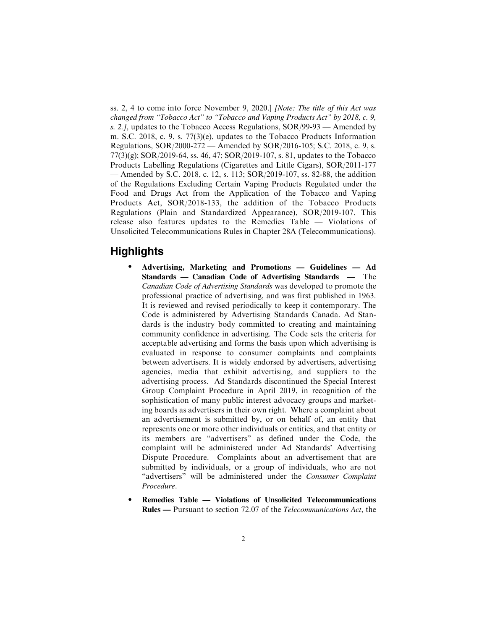ss. 2, 4 to come into force November 9, 2020.] *[Note: The title of this Act was changed from "Tobacco Act" to "Tobacco and Vaping Products Act" by 2018, c. 9, s. 2.]*, updates to the Tobacco Access Regulations, SOR/99-93 — Amended by m. S.C. 2018, c. 9, s. 77(3)(e), updates to the Tobacco Products Information Regulations, SOR/2000-272 — Amended by SOR/2016-105; S.C. 2018, c. 9, s. 77(3)(g); SOR/2019-64, ss. 46, 47; SOR/2019-107, s. 81, updates to the Tobacco Products Labelling Regulations (Cigarettes and Little Cigars), SOR/2011-177 — Amended by S.C. 2018, c. 12, s. 113; SOR/2019-107, ss. 82-88, the addition of the Regulations Excluding Certain Vaping Products Regulated under the Food and Drugs Act from the Application of the Tobacco and Vaping Products Act, SOR/2018-133, the addition of the Tobacco Products Regulations (Plain and Standardized Appearance), SOR/2019-107. This release also features updates to the Remedies Table — Violations of Unsolicited Telecommunications Rules in Chapter 28A (Telecommunications).

## **Highlights**

- . **Advertising, Marketing and Promotions Guidelines Ad Standards — Canadian Code of Advertising Standards —** The *Canadian Code of Advertising Standards* was developed to promote the professional practice of advertising, and was first published in 1963. It is reviewed and revised periodically to keep it contemporary. The Code is administered by Advertising Standards Canada. Ad Standards is the industry body committed to creating and maintaining community confidence in advertising. The Code sets the criteria for acceptable advertising and forms the basis upon which advertising is evaluated in response to consumer complaints and complaints between advertisers. It is widely endorsed by advertisers, advertising agencies, media that exhibit advertising, and suppliers to the advertising process. Ad Standards discontinued the Special Interest Group Complaint Procedure in April 2019, in recognition of the sophistication of many public interest advocacy groups and marketing boards as advertisers in their own right. Where a complaint about an advertisement is submitted by, or on behalf of, an entity that represents one or more other individuals or entities, and that entity or its members are "advertisers" as defined under the Code, the complaint will be administered under Ad Standards' Advertising Dispute Procedure. Complaints about an advertisement that are submitted by individuals, or a group of individuals, who are not "advertisers" will be administered under the *Consumer Complaint Procedure*.
- . **Remedies Table Violations of Unsolicited Telecommunications Rules —** Pursuant to section 72.07 of the *Telecommunications Act*, the